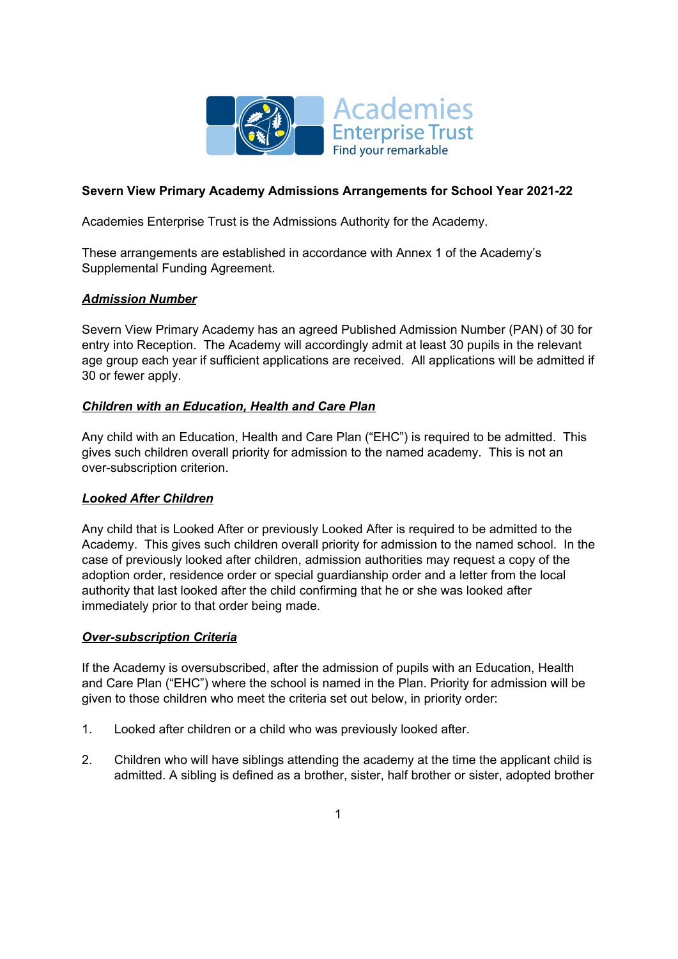

# **Severn View Primary Academy Admissions Arrangements for School Year 2021-22**

Academies Enterprise Trust is the Admissions Authority for the Academy.

These arrangements are established in accordance with Annex 1 of the Academy's Supplemental Funding Agreement.

# *Admission Number*

Severn View Primary Academy has an agreed Published Admission Number (PAN) of 30 for entry into Reception. The Academy will accordingly admit at least 30 pupils in the relevant age group each year if sufficient applications are received. All applications will be admitted if 30 or fewer apply.

## *Children with an Education, Health and Care Plan*

Any child with an Education, Health and Care Plan ("EHC") is required to be admitted. This gives such children overall priority for admission to the named academy. This is not an over-subscription criterion.

# *Looked After Children*

Any child that is Looked After or previously Looked After is required to be admitted to the Academy. This gives such children overall priority for admission to the named school. In the case of previously looked after children, admission authorities may request a copy of the adoption order, residence order or special guardianship order and a letter from the local authority that last looked after the child confirming that he or she was looked after immediately prior to that order being made.

# *Over-subscription Criteria*

If the Academy is oversubscribed, after the admission of pupils with an Education, Health and Care Plan ("EHC") where the school is named in the Plan. Priority for admission will be given to those children who meet the criteria set out below, in priority order:

- 1. Looked after children or a child who was previously looked after.
- 2. Children who will have siblings attending the academy at the time the applicant child is admitted. A sibling is defined as a brother, sister, half brother or sister, adopted brother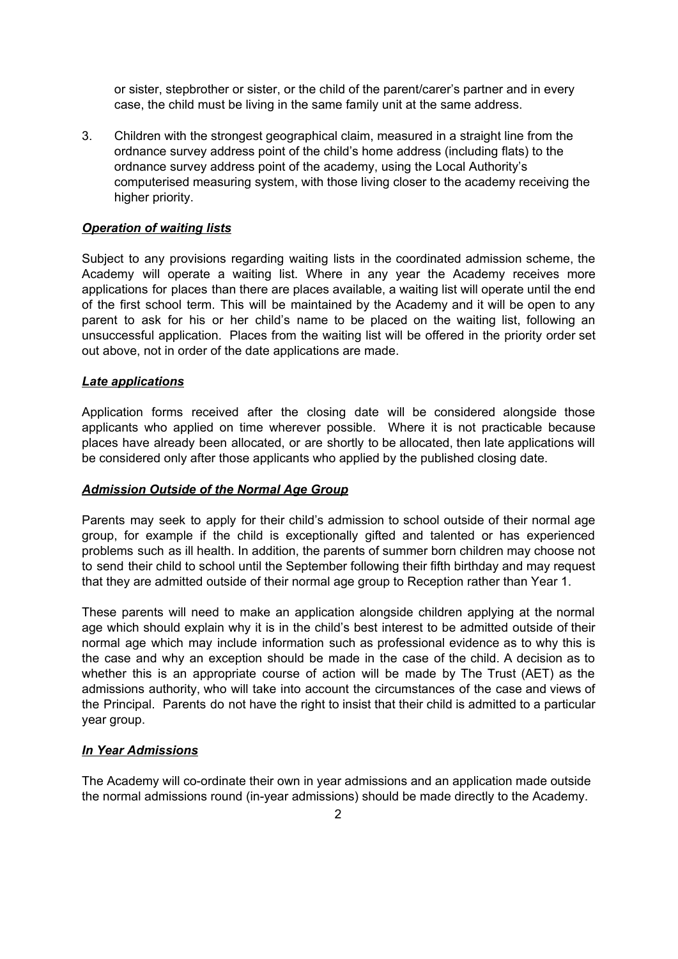or sister, stepbrother or sister, or the child of the parent/carer's partner and in every case, the child must be living in the same family unit at the same address.

3. Children with the strongest geographical claim, measured in a straight line from the ordnance survey address point of the child's home address (including flats) to the ordnance survey address point of the academy, using the Local Authority's computerised measuring system, with those living closer to the academy receiving the higher priority.

## *Operation of waiting lists*

Subject to any provisions regarding waiting lists in the coordinated admission scheme, the Academy will operate a waiting list. Where in any year the Academy receives more applications for places than there are places available, a waiting list will operate until the end of the first school term. This will be maintained by the Academy and it will be open to any parent to ask for his or her child's name to be placed on the waiting list, following an unsuccessful application. Places from the waiting list will be offered in the priority order set out above, not in order of the date applications are made.

### *Late applications*

Application forms received after the closing date will be considered alongside those applicants who applied on time wherever possible. Where it is not practicable because places have already been allocated, or are shortly to be allocated, then late applications will be considered only after those applicants who applied by the published closing date.

### *Admission Outside of the Normal Age Group*

Parents may seek to apply for their child's admission to school outside of their normal age group, for example if the child is exceptionally gifted and talented or has experienced problems such as ill health. In addition, the parents of summer born children may choose not to send their child to school until the September following their fifth birthday and may request that they are admitted outside of their normal age group to Reception rather than Year 1.

These parents will need to make an application alongside children applying at the normal age which should explain why it is in the child's best interest to be admitted outside of their normal age which may include information such as professional evidence as to why this is the case and why an exception should be made in the case of the child. A decision as to whether this is an appropriate course of action will be made by The Trust (AET) as the admissions authority, who will take into account the circumstances of the case and views of the Principal. Parents do not have the right to insist that their child is admitted to a particular year group.

### *In Year Admissions*

The Academy will co-ordinate their own in year admissions and an application made outside the normal admissions round (in-year admissions) should be made directly to the Academy.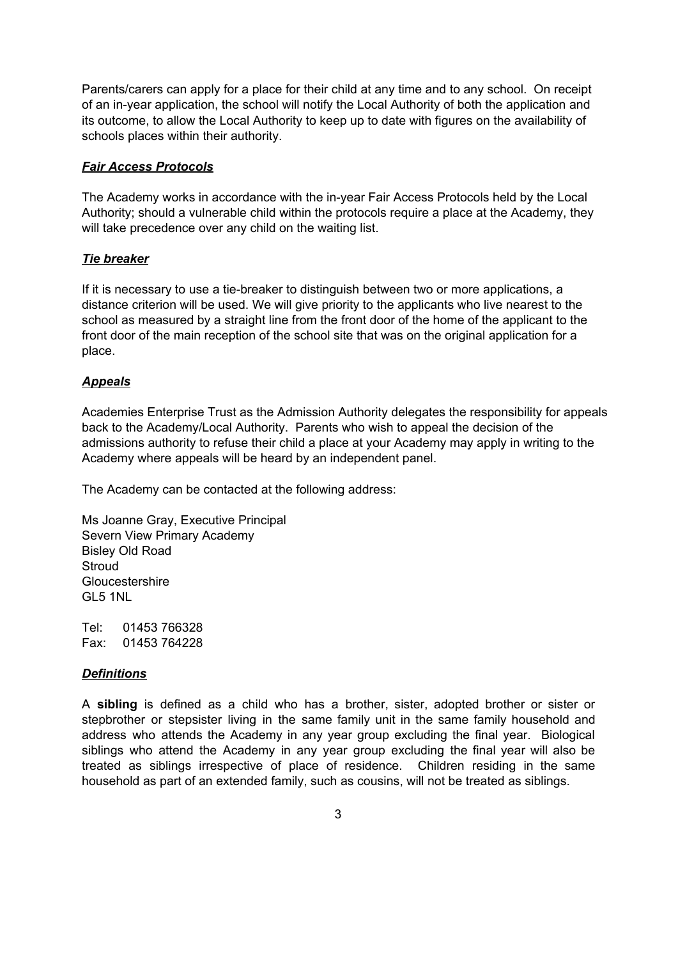Parents/carers can apply for a place for their child at any time and to any school. On receipt of an in-year application, the school will notify the Local Authority of both the application and its outcome, to allow the Local Authority to keep up to date with figures on the availability of schools places within their authority.

### *Fair Access Protocols*

The Academy works in accordance with the in-year Fair Access Protocols held by the Local Authority; should a vulnerable child within the protocols require a place at the Academy, they will take precedence over any child on the waiting list.

#### *Tie breaker*

If it is necessary to use a tie-breaker to distinguish between two or more applications, a distance criterion will be used. We will give priority to the applicants who live nearest to the school as measured by a straight line from the front door of the home of the applicant to the front door of the main reception of the school site that was on the original application for a place.

#### *Appeals*

Academies Enterprise Trust as the Admission Authority delegates the responsibility for appeals back to the Academy/Local Authority. Parents who wish to appeal the decision of the admissions authority to refuse their child a place at your Academy may apply in writing to the Academy where appeals will be heard by an independent panel.

The Academy can be contacted at the following address:

Ms Joanne Gray, Executive Principal Severn View Primary Academy Bisley Old Road Stroud **Gloucestershire** GL5 1NL

Tel: 01453 766328 Fax: 01453 764228

#### *Definitions*

A **sibling** is defined as a child who has a brother, sister, adopted brother or sister or stepbrother or stepsister living in the same family unit in the same family household and address who attends the Academy in any year group excluding the final year. Biological siblings who attend the Academy in any year group excluding the final year will also be treated as siblings irrespective of place of residence. Children residing in the same household as part of an extended family, such as cousins, will not be treated as siblings.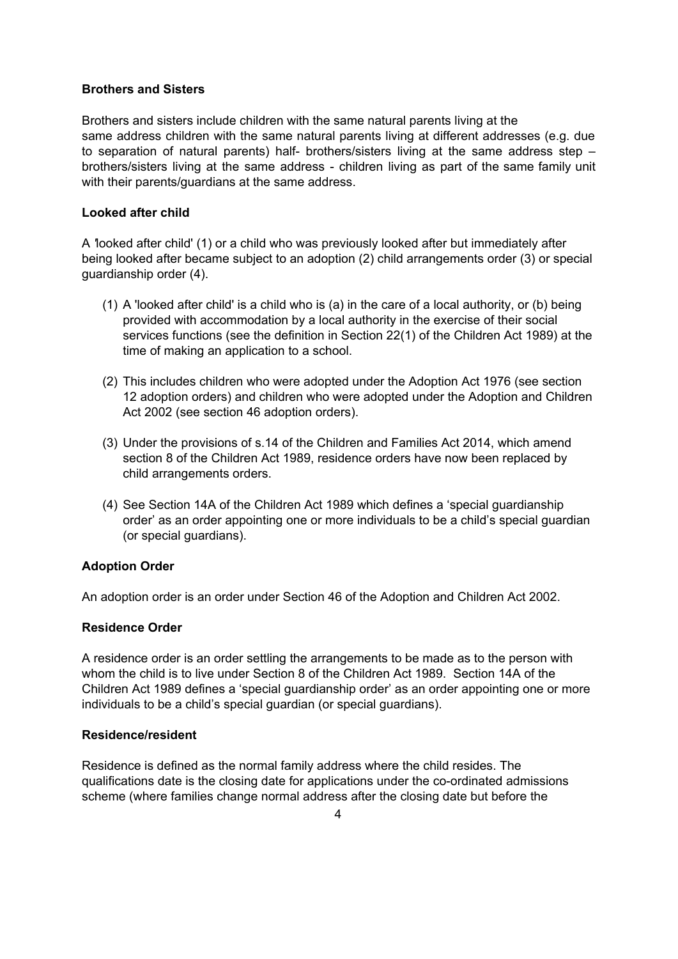## **Brothers and Sisters**

Brothers and sisters include children with the same natural parents living at the same address children with the same natural parents living at different addresses (e.g. due to separation of natural parents) half- brothers/sisters living at the same address step – brothers/sisters living at the same address - children living as part of the same family unit with their parents/guardians at the same address.

## **Looked after child**

A *'*looked after child' (1) or a child who was previously looked after but immediately after being looked after became subject to an adoption (2) child arrangements order (3) or special guardianship order (4).

- (1) A 'looked after child' is a child who is (a) in the care of a local authority, or (b) being provided with accommodation by a local authority in the exercise of their social services functions (see the definition in Section 22(1) of the Children Act 1989) at the time of making an application to a school.
- (2) This includes children who were adopted under the Adoption Act 1976 (see section 12 adoption orders) and children who were adopted under the Adoption and Children Act 2002 (see section 46 adoption orders).
- (3) Under the provisions of s.14 of the Children and Families Act 2014, which amend section 8 of the Children Act 1989, residence orders have now been replaced by child arrangements orders.
- (4) See Section 14A of the Children Act 1989 which defines a 'special guardianship order' as an order appointing one or more individuals to be a child's special guardian (or special guardians).

# **Adoption Order**

An adoption order is an order under Section 46 of the Adoption and Children Act 2002.

## **Residence Order**

A residence order is an order settling the arrangements to be made as to the person with whom the child is to live under Section 8 of the Children Act 1989. Section 14A of the Children Act 1989 defines a 'special guardianship order' as an order appointing one or more individuals to be a child's special guardian (or special guardians).

### **Residence/resident**

Residence is defined as the normal family address where the child resides. The qualifications date is the closing date for applications under the co-ordinated admissions scheme (where families change normal address after the closing date but before the